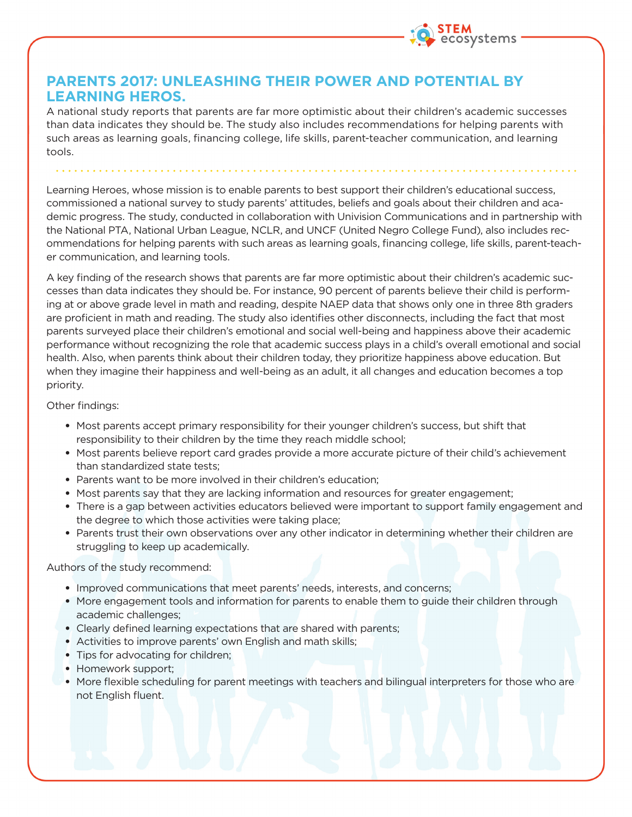

## **PARENTS 2017: UNLEASHING THEIR POWER AND POTENTIAL BY LEARNING HEROS.**

A national study reports that parents are far more optimistic about their children's academic successes than data indicates they should be. The study also includes recommendations for helping parents with such areas as learning goals, financing college, life skills, parent-teacher communication, and learning tools.

Learning Heroes, whose mission is to enable parents to best support their children's educational success, commissioned a national survey to study parents' attitudes, beliefs and goals about their children and academic progress. The study, conducted in collaboration with Univision Communications and in partnership with the National PTA, National Urban League, NCLR, and UNCF (United Negro College Fund), also includes recommendations for helping parents with such areas as learning goals, financing college, life skills, parent-teacher communication, and learning tools.

A key finding of the research shows that parents are far more optimistic about their children's academic successes than data indicates they should be. For instance, 90 percent of parents believe their child is performing at or above grade level in math and reading, despite NAEP data that shows only one in three 8th graders are proficient in math and reading. The study also identifies other disconnects, including the fact that most parents surveyed place their children's emotional and social well-being and happiness above their academic performance without recognizing the role that academic success plays in a child's overall emotional and social health. Also, when parents think about their children today, they prioritize happiness above education. But when they imagine their happiness and well-being as an adult, it all changes and education becomes a top priority.

## Other findings:

- Most parents accept primary responsibility for their younger children's success, but shift that responsibility to their children by the time they reach middle school;
- Most parents believe report card grades provide a more accurate picture of their child's achievement than standardized state tests;
- Parents want to be more involved in their children's education;
- Most parents say that they are lacking information and resources for greater engagement;
- There is a gap between activities educators believed were important to support family engagement and the degree to which those activities were taking place;
- Parents trust their own observations over any other indicator in determining whether their children are struggling to keep up academically.

Authors of the study recommend:

- Improved communications that meet parents' needs, interests, and concerns;
- More engagement tools and information for parents to enable them to guide their children through academic challenges;
- Clearly defined learning expectations that are shared with parents;
- Activities to improve parents' own English and math skills;
- Tips for advocating for children;
- Homework support;
- More flexible scheduling for parent meetings with teachers and bilingual interpreters for those who are not English fluent.